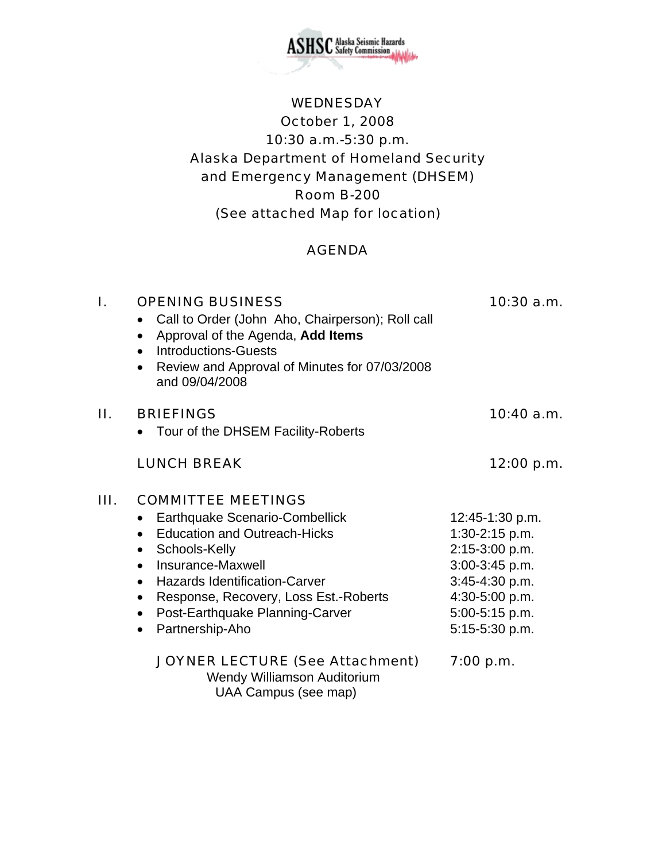

# WEDNESDAY October 1, 2008 10:30 a.m.-5:30 p.m. Alaska Department of Homeland Security and Emergency Management (DHSEM) Room B-200 (See attached Map for location)

### AGENDA

| I. | <b>OPENING BUSINESS</b><br>Call to Order (John Aho, Chairperson); Roll call<br>$\bullet$<br>Approval of the Agenda, Add Items<br>$\bullet$<br><b>Introductions-Guests</b><br>$\bullet$<br>Review and Approval of Minutes for 07/03/2008<br>$\bullet$<br>and 09/04/2008                                                                                                                         | $10:30$ a.m.                                                                                                                                    |
|----|------------------------------------------------------------------------------------------------------------------------------------------------------------------------------------------------------------------------------------------------------------------------------------------------------------------------------------------------------------------------------------------------|-------------------------------------------------------------------------------------------------------------------------------------------------|
| П. | <b>BRIEFINGS</b><br>Tour of the DHSEM Facility-Roberts                                                                                                                                                                                                                                                                                                                                         | $10:40$ a.m.                                                                                                                                    |
|    | <b>LUNCH BREAK</b>                                                                                                                                                                                                                                                                                                                                                                             | 12:00 p.m.                                                                                                                                      |
| Ш. | <b>COMMITTEE MEETINGS</b><br><b>Earthquake Scenario-Combellick</b><br>$\bullet$<br><b>Education and Outreach-Hicks</b><br>$\bullet$<br>Schools-Kelly<br>$\bullet$<br>Insurance-Maxwell<br>$\bullet$<br><b>Hazards Identification-Carver</b><br>$\bullet$<br>Response, Recovery, Loss Est.-Roberts<br>$\bullet$<br>Post-Earthquake Planning-Carver<br>$\bullet$<br>Partnership-Aho<br>$\bullet$ | 12:45-1:30 p.m.<br>$1:30-2:15$ p.m.<br>2:15-3:00 p.m.<br>3:00-3:45 p.m.<br>3:45-4:30 p.m.<br>4:30-5:00 p.m.<br>5:00-5:15 p.m.<br>5:15-5:30 p.m. |
|    | <b>JOYNER LECTURE (See Attachment)</b><br>Wendy Williamson Auditorium<br>UAA Campus (see map)                                                                                                                                                                                                                                                                                                  | 7:00 p.m.                                                                                                                                       |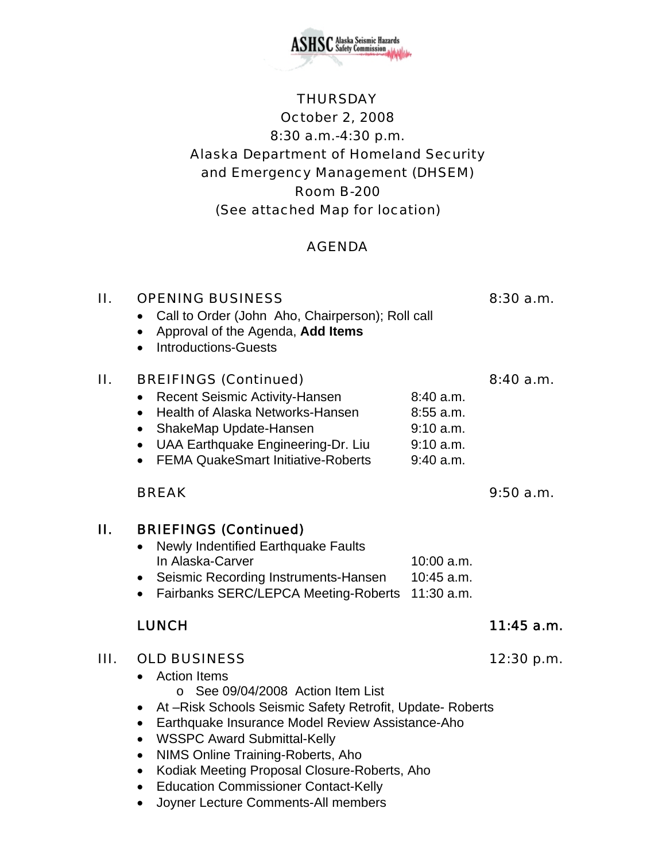

#### **THURSDAY**

# October 2, 2008 8:30 a.m.-4:30 p.m. Alaska Department of Homeland Security and Emergency Management (DHSEM) Room B-200 (See attached Map for location)

### AGENDA

II. OPENING BUSINESS 8:30 a.m.

# • Call to Order (John Aho, Chairperson); Roll call • Approval of the Agenda, **Add Items** • Introductions-Guests II. BREIFINGS (Continued) 8:40 a.m. • Recent Seismic Activity-Hansen 8:40 a.m. • Health of Alaska Networks-Hansen 8:55 a.m. • ShakeMap Update-Hansen 9:10 a.m. • UAA Earthquake Engineering-Dr. Liu 9:10 a.m. • FEMA QuakeSmart Initiative-Roberts 9:40 a.m.

#### BREAK 9:50 a.m.

#### II. BRIEFINGS (Continued) • Newly Indentified Earthquake Faults In Alaska-Carver 10:00 a.m. • Seismic Recording Instruments-Hansen 10:45 a.m. • Fairbanks SERC/LEPCA Meeting-Roberts 11:30 a.m.

### III. OLD BUSINESS 12:30 p.m.

- Action Items
	- o See 09/04/2008 Action Item List
- At –Risk Schools Seismic Safety Retrofit, Update- Roberts
- Earthquake Insurance Model Review Assistance-Aho
- WSSPC Award Submittal-Kelly
- NIMS Online Training-Roberts, Aho
- Kodiak Meeting Proposal Closure-Roberts, Aho
- Education Commissioner Contact-Kelly
- Joyner Lecture Comments-All members

#### LUNCH 11:45 a.m.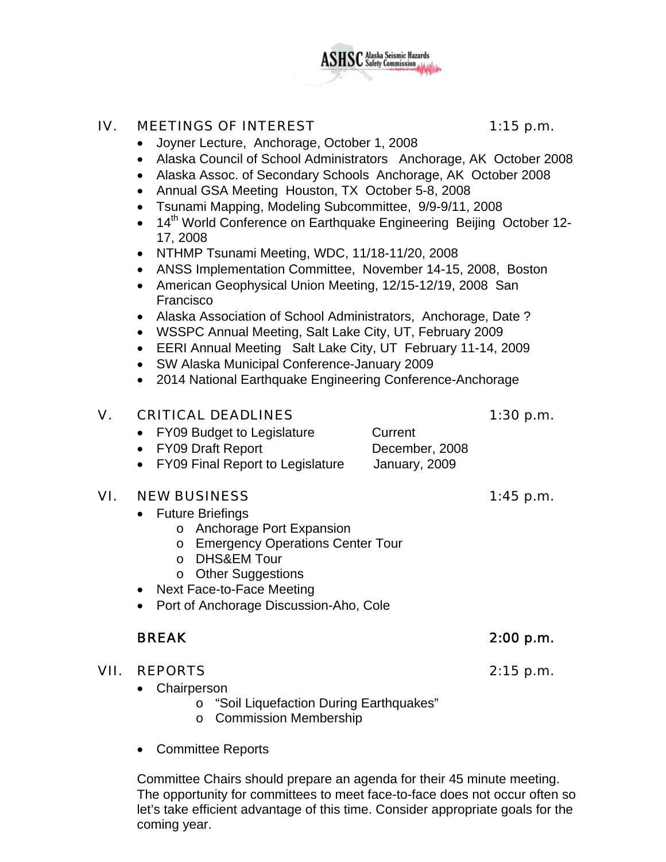

#### IV. MEETINGS OF INTEREST 1:15 p.m.

- Joyner Lecture, Anchorage, October 1, 2008
- Alaska Council of School Administrators Anchorage, AK October 2008
- Alaska Assoc. of Secondary Schools Anchorage, AK October 2008
- Annual GSA Meeting Houston, TX October 5-8, 2008
- Tsunami Mapping, Modeling Subcommittee, 9/9-9/11, 2008
- 14<sup>th</sup> World Conference on Earthquake Engineering Beijing October 12-17, 2008
- NTHMP Tsunami Meeting, WDC, 11/18-11/20, 2008
- ANSS Implementation Committee, November 14-15, 2008, Boston
- American Geophysical Union Meeting, 12/15-12/19, 2008 San Francisco
- Alaska Association of School Administrators, Anchorage, Date ?
- WSSPC Annual Meeting, Salt Lake City, UT, February 2009
- EERI Annual Meeting Salt Lake City, UT February 11-14, 2009
- SW Alaska Municipal Conference-January 2009
- 2014 National Earthquake Engineering Conference-Anchorage

#### V. CRITICAL DEADLINES 1:30 p.m.

### • FY09 Budget to Legislature Current

- FY09 Draft Report December, 2008
- FY09 Final Report to Legislature January, 2009

#### VI. NEW BUSINESS 1:45 p.m.

- Future Briefings
	- o Anchorage Port Expansion
	- o Emergency Operations Center Tour
	- o DHS&EM Tour
	- o Other Suggestions
- Next Face-to-Face Meeting
- Port of Anchorage Discussion-Aho, Cole

- VII. REPORTS 2:15 p.m.
	- Chairperson
		- o "Soil Liquefaction During Earthquakes"
		- o Commission Membership
	- Committee Reports

Committee Chairs should prepare an agenda for their 45 minute meeting. The opportunity for committees to meet face-to-face does not occur often so let's take efficient advantage of this time. Consider appropriate goals for the coming year.

### BREAK 2:00 p.m.